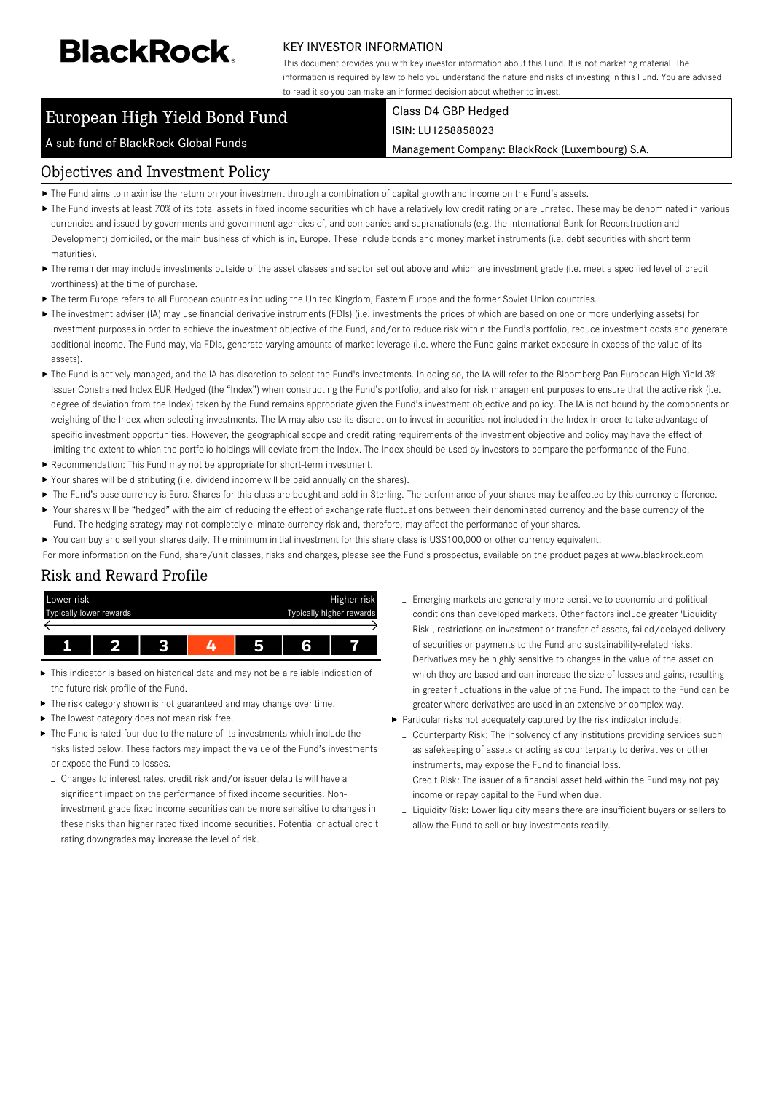# **BlackRock**

#### KEY INVESTOR INFORMATION

This document provides you with key investor information about this Fund. It is not marketing material. The information is required by law to help you understand the nature and risks of investing in this Fund. You are advised to read it so you can make an informed decision about whether to invest.

# European High Yield Bond Fund

#### Class D4 GBP Hedged ISIN: LU1258858023

Management Company: BlackRock (Luxembourg) S.A.

# Objectives and Investment Policy

A sub-fund of BlackRock Global Funds

- The Fund aims to maximise the return on your investment through a combination of capital growth and income on the Fund's assets.
- ▶ The Fund invests at least 70% of its total assets in fixed income securities which have a relatively low credit rating or are unrated. These may be denominated in various currencies and issued by governments and government agencies of, and companies and supranationals (e.g. the International Bank for Reconstruction and Development) domiciled, or the main business of which is in, Europe. These include bonds and money market instruments (i.e. debt securities with short term maturities).
- ▶ The remainder may include investments outside of the asset classes and sector set out above and which are investment grade (i.e. meet a specified level of credit worthiness) at the time of purchase.
- The term Europe refers to all European countries including the United Kingdom, Eastern Europe and the former Soviet Union countries.
- ▶ The investment adviser (IA) may use financial derivative instruments (FDIs) (i.e. investments the prices of which are based on one or more underlying assets) for investment purposes in order to achieve the investment objective of the Fund, and/or to reduce risk within the Fund's portfolio, reduce investment costs and generate additional income. The Fund may, via FDIs, generate varying amounts of market leverage (i.e. where the Fund gains market exposure in excess of the value of its assets).
- The Fund is actively managed, and the IA has discretion to select the Fund's investments. In doing so, the IA will refer to the Bloomberg Pan European High Yield 3% Issuer Constrained Index EUR Hedged (the "Index") when constructing the Fund's portfolio, and also for risk management purposes to ensure that the active risk (i.e. degree of deviation from the Index) taken by the Fund remains appropriate given the Fund's investment objective and policy. The IA is not bound by the components or weighting of the Index when selecting investments. The IA may also use its discretion to invest in securities not included in the Index in order to take advantage of specific investment opportunities. However, the geographical scope and credit rating requirements of the investment objective and policy may have the effect of limiting the extent to which the portfolio holdings will deviate from the Index. The Index should be used by investors to compare the performance of the Fund.
- Recommendation: This Fund may not be appropriate for short-term investment.
- Your shares will be distributing (i.e. dividend income will be paid annually on the shares).
- The Fund's base currency is Euro. Shares for this class are bought and sold in Sterling. The performance of your shares may be affected by this currency difference.  $\blacktriangleright$ Your shares will be "hedged" with the aim of reducing the effect of exchange rate fluctuations between their denominated currency and the base currency of the
- Fund. The hedging strategy may not completely eliminate currency risk and, therefore, may affect the performance of your shares.
- $\blacktriangleright$ You can buy and sell your shares daily. The minimum initial investment for this share class is US\$100,000 or other currency equivalent.

For more information on the Fund, share/unit classes, risks and charges, please see the Fund's prospectus, available on the product pages at www.blackrock.com

## Risk and Reward Profile



- This indicator is based on historical data and may not be a reliable indication of the future risk profile of the Fund.
- The risk category shown is not guaranteed and may change over time.
- The lowest category does not mean risk free.
- The Fund is rated four due to the nature of its investments which include the risks listed below. These factors may impact the value of the Fund's investments or expose the Fund to losses.
- Changes to interest rates, credit risk and/or issuer defaults will have a significant impact on the performance of fixed income securities. Noninvestment grade fixed income securities can be more sensitive to changes in these risks than higher rated fixed income securities. Potential or actual credit rating downgrades may increase the level of risk.
- Emerging markets are generally more sensitive to economic and political conditions than developed markets. Other factors include greater 'Liquidity Risk', restrictions on investment or transfer of assets, failed/delayed delivery of securities or payments to the Fund and sustainability-related risks.
- Derivatives may be highly sensitive to changes in the value of the asset on which they are based and can increase the size of losses and gains, resulting in greater fluctuations in the value of the Fund. The impact to the Fund can be greater where derivatives are used in an extensive or complex way.
- Particular risks not adequately captured by the risk indicator include:
	- Counterparty Risk: The insolvency of any institutions providing services such as safekeeping of assets or acting as counterparty to derivatives or other instruments, may expose the Fund to financial loss.
	- Credit Risk: The issuer of a financial asset held within the Fund may not pay income or repay capital to the Fund when due.
	- Liquidity Risk: Lower liquidity means there are insufficient buyers or sellers to allow the Fund to sell or buy investments readily.